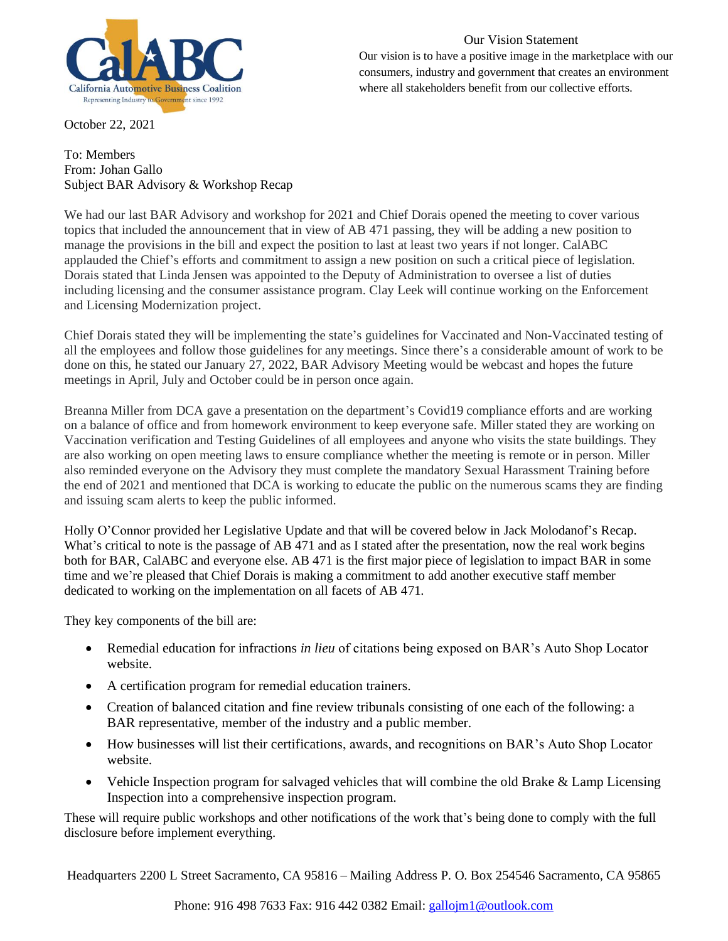

October 22, 2021

# Our Vision Statement

Our vision is to have a positive image in the marketplace with our consumers, industry and government that creates an environment where all stakeholders benefit from our collective efforts.

#### To: Members From: Johan Gallo Subject BAR Advisory & Workshop Recap

We had our last BAR Advisory and workshop for 2021 and Chief Dorais opened the meeting to cover various topics that included the announcement that in view of AB 471 passing, they will be adding a new position to manage the provisions in the bill and expect the position to last at least two years if not longer. CalABC applauded the Chief's efforts and commitment to assign a new position on such a critical piece of legislation. Dorais stated that Linda Jensen was appointed to the Deputy of Administration to oversee a list of duties including licensing and the consumer assistance program. Clay Leek will continue working on the Enforcement and Licensing Modernization project.

Chief Dorais stated they will be implementing the state's guidelines for Vaccinated and Non-Vaccinated testing of all the employees and follow those guidelines for any meetings. Since there's a considerable amount of work to be done on this, he stated our January 27, 2022, BAR Advisory Meeting would be webcast and hopes the future meetings in April, July and October could be in person once again.

Breanna Miller from DCA gave a presentation on the department's Covid19 compliance efforts and are working on a balance of office and from homework environment to keep everyone safe. Miller stated they are working on Vaccination verification and Testing Guidelines of all employees and anyone who visits the state buildings. They are also working on open meeting laws to ensure compliance whether the meeting is remote or in person. Miller also reminded everyone on the Advisory they must complete the mandatory Sexual Harassment Training before the end of 2021 and mentioned that DCA is working to educate the public on the numerous scams they are finding and issuing scam alerts to keep the public informed.

Holly O'Connor provided her Legislative Update and that will be covered below in Jack Molodanof's Recap. What's critical to note is the passage of AB 471 and as I stated after the presentation, now the real work begins both for BAR, CalABC and everyone else. AB 471 is the first major piece of legislation to impact BAR in some time and we're pleased that Chief Dorais is making a commitment to add another executive staff member dedicated to working on the implementation on all facets of AB 471.

They key components of the bill are:

- Remedial education for infractions *in lieu* of citations being exposed on BAR's Auto Shop Locator website.
- A certification program for remedial education trainers.
- Creation of balanced citation and fine review tribunals consisting of one each of the following: a BAR representative, member of the industry and a public member.
- How businesses will list their certifications, awards, and recognitions on BAR's Auto Shop Locator website.
- Vehicle Inspection program for salvaged vehicles that will combine the old Brake & Lamp Licensing Inspection into a comprehensive inspection program.

These will require public workshops and other notifications of the work that's being done to comply with the full disclosure before implement everything.

Headquarters 2200 L Street Sacramento, CA 95816 – Mailing Address P. O. Box 254546 Sacramento, CA 95865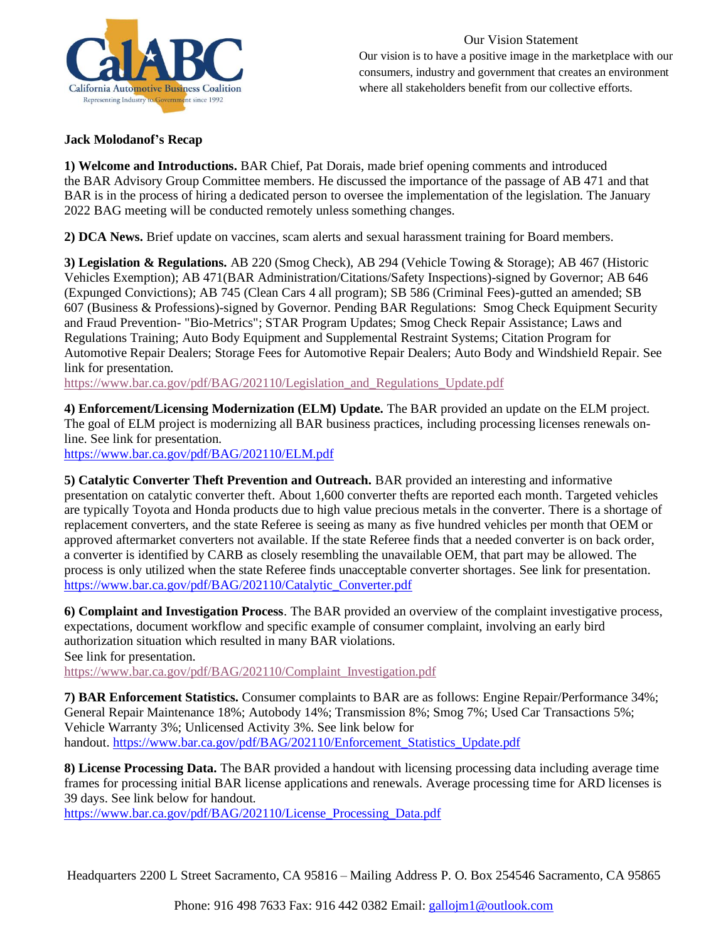

Our Vision Statement Our vision is to have a positive image in the marketplace with our consumers, industry and government that creates an environment where all stakeholders benefit from our collective efforts.

# **Jack Molodanof's Recap**

**1) Welcome and Introductions.** BAR Chief, Pat Dorais, made brief opening comments and introduced the BAR Advisory Group Committee members. He discussed the importance of the passage of AB 471 and that BAR is in the process of hiring a dedicated person to oversee the implementation of the legislation. The January 2022 BAG meeting will be conducted remotely unless something changes.

**2) DCA News.** Brief update on vaccines, scam alerts and sexual harassment training for Board members.

**3) Legislation & Regulations.** AB 220 (Smog Check), AB 294 (Vehicle Towing & Storage); AB 467 (Historic Vehicles Exemption); AB 471(BAR Administration/Citations/Safety Inspections)-signed by Governor; AB 646 (Expunged Convictions); AB 745 (Clean Cars 4 all program); SB 586 (Criminal Fees)-gutted an amended; SB 607 (Business & Professions)-signed by Governor. Pending BAR Regulations: Smog Check Equipment Security and Fraud Prevention- "Bio-Metrics"; STAR Program Updates; Smog Check Repair Assistance; Laws and Regulations Training; Auto Body Equipment and Supplemental Restraint Systems; Citation Program for Automotive Repair Dealers; Storage Fees for Automotive Repair Dealers; Auto Body and Windshield Repair. See link for presentation.

[https://www.bar.ca.gov/pdf/BAG/202110/Legislation\\_and\\_Regulations\\_Update.pdf](https://na01.safelinks.protection.outlook.com/?url=https%3A%2F%2Fwww.bar.ca.gov%2Fpdf%2FBAG%2F202110%2FLegislation_and_Regulations_Update.pdf&data=04%7C01%7C%7Ce66da20b8e02444a7a5d08d9956d4eef%7C84df9e7fe9f640afb435aaaaaaaaaaaa%7C1%7C0%7C637705118978545664%7CUnknown%7CTWFpbGZsb3d8eyJWIjoiMC4wLjAwMDAiLCJQIjoiV2luMzIiLCJBTiI6Ik1haWwiLCJXVCI6Mn0%3D%7C1000&sdata=R%2BUF%2FJUO8Zsa3hCg5JNCmqjr%2BWW98I%2FAYlBxHDEr6Lo%3D&reserved=0)

**4) Enforcement/Licensing Modernization (ELM) Update.** The BAR provided an update on the ELM project. The goal of ELM project is modernizing all BAR business practices, including processing licenses renewals online. See link for presentation.

[https://www.bar.ca.gov/pdf/BAG/202110/ELM.pdf](https://na01.safelinks.protection.outlook.com/?url=https%3A%2F%2Fwww.bar.ca.gov%2Fpdf%2FBAG%2F202110%2FELM.pdf&data=04%7C01%7C%7Ce66da20b8e02444a7a5d08d9956d4eef%7C84df9e7fe9f640afb435aaaaaaaaaaaa%7C1%7C0%7C637705118978555655%7CUnknown%7CTWFpbGZsb3d8eyJWIjoiMC4wLjAwMDAiLCJQIjoiV2luMzIiLCJBTiI6Ik1haWwiLCJXVCI6Mn0%3D%7C1000&sdata=8%2BJ2Z8r2Sb3JLtk%2F7pJm6wsPFk9nuL9r7QCO3v9PXkM%3D&reserved=0)

**5) Catalytic Converter Theft Prevention and Outreach.** BAR provided an interesting and informative presentation on catalytic converter theft. About 1,600 converter thefts are reported each month. Targeted vehicles are typically Toyota and Honda products due to high value precious metals in the converter. There is a shortage of replacement converters, and the state Referee is seeing as many as five hundred vehicles per month that OEM or approved aftermarket converters not available. If the state Referee finds that a needed converter is on back order, a converter is identified by CARB as closely resembling the unavailable OEM, that part may be allowed. The process is only utilized when the state Referee finds unacceptable converter shortages. See link for presentation. [https://www.bar.ca.gov/pdf/BAG/202110/Catalytic\\_Converter.pdf](https://na01.safelinks.protection.outlook.com/?url=https%3A%2F%2Fwww.bar.ca.gov%2Fpdf%2FBAG%2F202110%2FCatalytic_Converter.pdf&data=04%7C01%7C%7Ce66da20b8e02444a7a5d08d9956d4eef%7C84df9e7fe9f640afb435aaaaaaaaaaaa%7C1%7C0%7C637705118978555655%7CUnknown%7CTWFpbGZsb3d8eyJWIjoiMC4wLjAwMDAiLCJQIjoiV2luMzIiLCJBTiI6Ik1haWwiLCJXVCI6Mn0%3D%7C1000&sdata=j5Ctq2%2BY1zkCKKVI75xK%2FrFIvJYaBK%2FwdVAx%2FNwWaYo%3D&reserved=0)

**6) Complaint and Investigation Process**. The BAR provided an overview of the complaint investigative process, expectations, document workflow and specific example of consumer complaint, involving an early bird authorization situation which resulted in many BAR violations. See link for presentation.

[https://www.bar.ca.gov/pdf/BAG/202110/Complaint\\_Investigation.pdf](https://na01.safelinks.protection.outlook.com/?url=https%3A%2F%2Fwww.bar.ca.gov%2Fpdf%2FBAG%2F202110%2FComplaint_Investigation.pdf&data=04%7C01%7C%7Ce66da20b8e02444a7a5d08d9956d4eef%7C84df9e7fe9f640afb435aaaaaaaaaaaa%7C1%7C0%7C637705118978565649%7CUnknown%7CTWFpbGZsb3d8eyJWIjoiMC4wLjAwMDAiLCJQIjoiV2luMzIiLCJBTiI6Ik1haWwiLCJXVCI6Mn0%3D%7C1000&sdata=i%2F4jkxC5E8SB7AZZzqkDs7j%2FJmvZTdaV9v%2BvSuLB8%2FM%3D&reserved=0)

**7) BAR Enforcement Statistics.** Consumer complaints to BAR are as follows: Engine Repair/Performance 34%; General Repair Maintenance 18%; Autobody 14%; Transmission 8%; Smog 7%; Used Car Transactions 5%; Vehicle Warranty 3%; Unlicensed Activity 3%. See link below for handout. [https://www.bar.ca.gov/pdf/BAG/202110/Enforcement\\_Statistics\\_Update.pdf](https://na01.safelinks.protection.outlook.com/?url=https%3A%2F%2Fwww.bar.ca.gov%2Fpdf%2FBAG%2F202110%2FEnforcement_Statistics_Update.pdf&data=04%7C01%7C%7Ce66da20b8e02444a7a5d08d9956d4eef%7C84df9e7fe9f640afb435aaaaaaaaaaaa%7C1%7C0%7C637705118978565649%7CUnknown%7CTWFpbGZsb3d8eyJWIjoiMC4wLjAwMDAiLCJQIjoiV2luMzIiLCJBTiI6Ik1haWwiLCJXVCI6Mn0%3D%7C1000&sdata=X9%2FnaFlV8kB89feAeQQM5Tt6blIerQ6dUlQtmG7IJLs%3D&reserved=0)

**8) License Processing Data.** The BAR provided a handout with licensing processing data including average time frames for processing initial BAR license applications and renewals. Average processing time for ARD licenses is 39 days. See link below for handout.

[https://www.bar.ca.gov/pdf/BAG/202110/License\\_Processing\\_Data.pdf](https://na01.safelinks.protection.outlook.com/?url=https%3A%2F%2Fwww.bar.ca.gov%2Fpdf%2FBAG%2F202110%2FLicense_Processing_Data.pdf&data=04%7C01%7C%7Ce66da20b8e02444a7a5d08d9956d4eef%7C84df9e7fe9f640afb435aaaaaaaaaaaa%7C1%7C0%7C637705118978575646%7CUnknown%7CTWFpbGZsb3d8eyJWIjoiMC4wLjAwMDAiLCJQIjoiV2luMzIiLCJBTiI6Ik1haWwiLCJXVCI6Mn0%3D%7C1000&sdata=Inj4gsy3bRmOYrN0wZ9zFg6WwkulY%2BmhQaOTQMWq07I%3D&reserved=0)

Headquarters 2200 L Street Sacramento, CA 95816 – Mailing Address P. O. Box 254546 Sacramento, CA 95865

Phone: 916 498 7633 Fax: 916 442 0382 Email: [gallojm1@outlook.com](mailto:gallojm1@outlook.com)